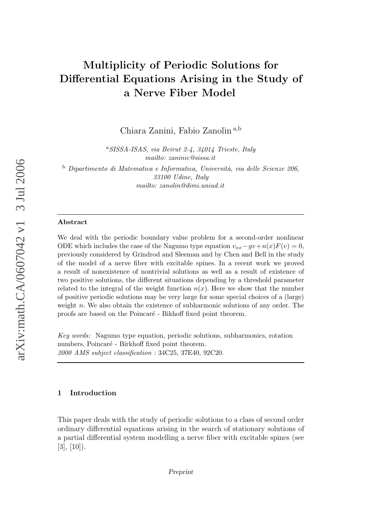# Multiplicity of Periodic Solutions for Differential Equations Arising in the Study of a Nerve Fiber Model

Chiara Zanini, Fabio Zanolin<sup>a,b</sup>

<sup>a</sup>SISSA-ISAS, via Beirut 2-4, 34014 Trieste, Italy mailto: zaninic@sissa.it

 $b$  Dipartimento di Matematica e Informatica, Università, via delle Scienze 206, 33100 Udine, Italy mailto: zanolin@dimi.uniud.it

#### Abstract

We deal with the periodic boundary value problem for a second-order nonlinear ODE which includes the case of the Nagumo type equation  $v_{xx} - gv + n(x)F(v) = 0$ , previously considered by Grindrod and Sleeman and by Chen and Bell in the study of the model of a nerve fiber with excitable spines. In a recent work we proved a result of nonexistence of nontrivial solutions as well as a result of existence of two positive solutions, the different situations depending by a threshold parameter related to the integral of the weight function  $n(x)$ . Here we show that the number of positive periodic solutions may be very large for some special choices of a (large) weight  $n$ . We also obtain the existence of subharmonic solutions of any order. The proofs are based on the Poincaré - Bikhoff fixed point theorem.

Key words: Nagumo type equation, periodic solutions, subharmonics, rotation numbers, Poincaré - Birkhoff fixed point theorem. 2000 AMS subject classification : 34C25, 37E40, 92C20.

## 1 Introduction

This paper deals with the study of periodic solutions to a class of second order ordinary differential equations arising in the search of stationary solutions of a partial differential system modelling a nerve fiber with excitable spines (see  $[3], [10]$ .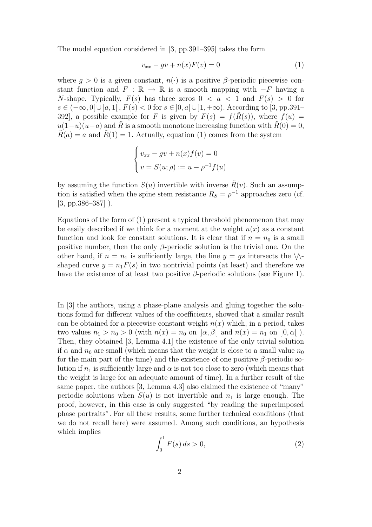The model equation considered in [3, pp.391–395] takes the form

$$
v_{xx} - gv + n(x)F(v) = 0 \tag{1}
$$

where  $g > 0$  is a given constant,  $n(\cdot)$  is a positive  $\beta$ -periodic piecewise constant function and  $F : \mathbb{R} \to \mathbb{R}$  is a smooth mapping with  $-F$  having a N-shape. Typically,  $F(s)$  has three zeros  $0 < a < 1$  and  $F(s) > 0$  for  $s \in (-\infty, 0] \cup [a, 1], F(s) < 0$  for  $s \in [0, a] \cup [1, +\infty)$ . According to [3, pp.391– 392, a possible example for F is given by  $F(s) = f(\tilde{R}(s))$ , where  $f(u) =$  $u(1-u)(u-a)$  and R is a smooth monotone increasing function with  $R(0) = 0$ ,  $R(a) = a$  and  $R(1) = 1$ . Actually, equation (1) comes from the system

$$
\begin{cases}\nv_{xx} - gv + n(x)f(v) = 0 \\
v = S(u; \rho) := u - \rho^{-1}f(u)\n\end{cases}
$$

by assuming the function  $S(u)$  invertible with inverse  $\tilde{R}(v)$ . Such an assumption is satisfied when the spine stem resistance  $R_S = \rho^{-1}$  approaches zero (cf. [3, pp.386–387] ).

Equations of the form of (1) present a typical threshold phenomenon that may be easily described if we think for a moment at the weight  $n(x)$  as a constant function and look for constant solutions. It is clear that if  $n = n_0$  is a small positive number, then the only  $\beta$ -periodic solution is the trivial one. On the other hand, if  $n = n_1$  is sufficiently large, the line  $y = gs$  intersects the  $\setminus \setminus$ shaped curve  $y = n_1 F(s)$  in two nontrivial points (at least) and therefore we have the existence of at least two positive  $\beta$ -periodic solutions (see Figure 1).

In [3] the authors, using a phase-plane analysis and gluing together the solutions found for different values of the coefficients, showed that a similar result can be obtained for a piecewise constant weight  $n(x)$  which, in a period, takes two values  $n_1 > n_0 > 0$  (with  $n(x) = n_0$  on  $\alpha, \beta$  and  $n(x) = n_1$  on  $[0, \alpha]$ ). Then, they obtained [3, Lemma 4.1] the existence of the only trivial solution if  $\alpha$  and  $n_0$  are small (which means that the weight is close to a small value  $n_0$ for the main part of the time) and the existence of one positive  $\beta$ -periodic solution if  $n_1$  is sufficiently large and  $\alpha$  is not too close to zero (which means that the weight is large for an adequate amount of time). In a further result of the same paper, the authors [3, Lemma 4.3] also claimed the existence of "many" periodic solutions when  $S(u)$  is not invertible and  $n<sub>1</sub>$  is large enough. The proof, however, in this case is only suggested "by reading the superimposed phase portraits". For all these results, some further technical conditions (that we do not recall here) were assumed. Among such conditions, an hypothesis which implies

$$
\int_0^1 F(s) \, ds > 0,\tag{2}
$$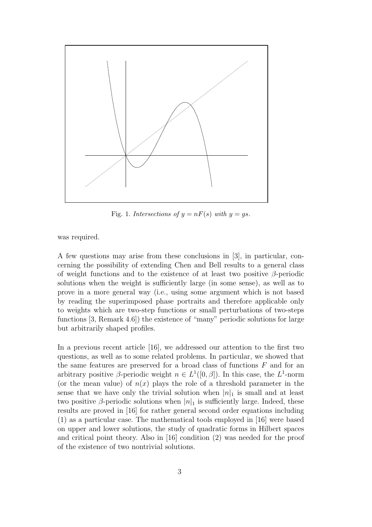

Fig. 1. Intersections of  $y = nF(s)$  with  $y = gs$ .

was required.

A few questions may arise from these conclusions in [3], in particular, concerning the possibility of extending Chen and Bell results to a general class of weight functions and to the existence of at least two positive  $\beta$ -periodic solutions when the weight is sufficiently large (in some sense), as well as to prove in a more general way (i.e., using some argument which is not based by reading the superimposed phase portraits and therefore applicable only to weights which are two-step functions or small perturbations of two-steps functions [3, Remark 4.6]) the existence of "many" periodic solutions for large but arbitrarily shaped profiles.

In a previous recent article [16], we addressed our attention to the first two questions, as well as to some related problems. In particular, we showed that the same features are preserved for a broad class of functions  $F$  and for an arbitrary positive  $\beta$ -periodic weight  $n \in L^1([0, \beta])$ . In this case, the  $L^1$ -norm (or the mean value) of  $n(x)$  plays the role of a threshold parameter in the sense that we have only the trivial solution when  $|n|_1$  is small and at least two positive β-periodic solutions when  $|n|_1$  is sufficiently large. Indeed, these results are proved in [16] for rather general second order equations including (1) as a particular case. The mathematical tools employed in [16] were based on upper and lower solutions, the study of quadratic forms in Hilbert spaces and critical point theory. Also in [16] condition (2) was needed for the proof of the existence of two nontrivial solutions.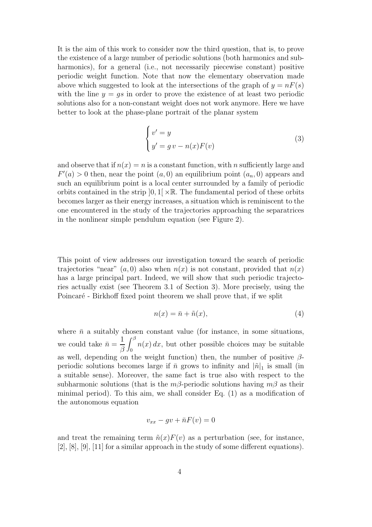It is the aim of this work to consider now the third question, that is, to prove the existence of a large number of periodic solutions (both harmonics and subharmonics), for a general (i.e., not necessarily piecewise constant) positive periodic weight function. Note that now the elementary observation made above which suggested to look at the intersections of the graph of  $y = nF(s)$ with the line  $y = qs$  in order to prove the existence of at least two periodic solutions also for a non-constant weight does not work anymore. Here we have better to look at the phase-plane portrait of the planar system

$$
\begin{cases}\nv' = y \\
y' = gv - n(x)F(v)\n\end{cases} \tag{3}
$$

and observe that if  $n(x) = n$  is a constant function, with n sufficiently large and  $F'(a) > 0$  then, near the point  $(a, 0)$  an equilibrium point  $(a_n, 0)$  appears and such an equilibrium point is a local center surrounded by a family of periodic orbits contained in the strip  $[0,1] \times \mathbb{R}$ . The fundamental period of these orbits becomes larger as their energy increases, a situation which is reminiscent to the one encountered in the study of the trajectories approaching the separatrices in the nonlinear simple pendulum equation (see Figure 2).

This point of view addresses our investigation toward the search of periodic trajectories "near"  $(a, 0)$  also when  $n(x)$  is not constant, provided that  $n(x)$ has a large principal part. Indeed, we will show that such periodic trajectories actually exist (see Theorem 3.1 of Section 3). More precisely, using the Poincaré - Birkhoff fixed point theorem we shall prove that, if we split

$$
n(x) = \bar{n} + \tilde{n}(x),\tag{4}
$$

where  $\bar{n}$  a suitably chosen constant value (for instance, in some situations, we could take  $\bar{n} =$ 1 β  $\int^\beta$  $\int_0$   $n(x) dx$ , but other possible choices may be suitable as well, depending on the weight function) then, the number of positive  $\beta$ periodic solutions becomes large if  $\bar{n}$  grows to infinity and  $|\tilde{n}|_1$  is small (in a suitable sense). Moreover, the same fact is true also with respect to the subharmonic solutions (that is the  $m\beta$ -periodic solutions having  $m\beta$  as their minimal period). To this aim, we shall consider Eq. (1) as a modification of the autonomous equation

$$
v_{xx} - gv + \bar{n}F(v) = 0
$$

and treat the remaining term  $\tilde{n}(x)F(v)$  as a perturbation (see, for instance, [2], [8], [9], [11] for a similar approach in the study of some different equations).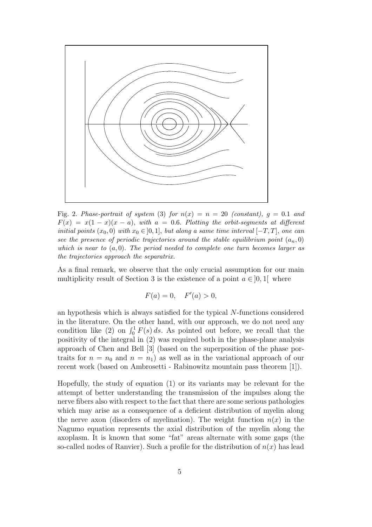

Fig. 2. Phase-portrait of system (3) for  $n(x) = n = 20$  (constant),  $g = 0.1$  and  $F(x) = x(1-x)(x-a)$ , with  $a = 0.6$ . Plotting the orbit-segments at different initial points  $(x_0, 0)$  with  $x_0 \in [0, 1]$ , but along a same time interval  $[-T, T]$ , one can see the presence of periodic trajectories around the stable equilibrium point  $(a_n, 0)$ which is near to  $(a, 0)$ . The period needed to complete one turn becomes larger as the trajectories approach the separatrix.

As a final remark, we observe that the only crucial assumption for our main multiplicity result of Section 3 is the existence of a point  $a \in ]0,1[$  where

$$
F(a) = 0, \quad F'(a) > 0,
$$

an hypothesis which is always satisfied for the typical N-functions considered in the literature. On the other hand, with our approach, we do not need any condition like (2) on  $\int_0^1 F(s) ds$ . As pointed out before, we recall that the positivity of the integral in (2) was required both in the phase-plane analysis approach of Chen and Bell [3] (based on the superposition of the phase portraits for  $n = n_0$  and  $n = n_1$ ) as well as in the variational approach of our recent work (based on Ambrosetti - Rabinowitz mountain pass theorem [1]).

Hopefully, the study of equation (1) or its variants may be relevant for the attempt of better understanding the transmission of the impulses along the nerve fibers also with respect to the fact that there are some serious pathologies which may arise as a consequence of a deficient distribution of myelin along the nerve axon (disorders of myelination). The weight function  $n(x)$  in the Nagumo equation represents the axial distribution of the myelin along the axoplasm. It is known that some "fat" areas alternate with some gaps (the so-called nodes of Ranvier). Such a profile for the distribution of  $n(x)$  has lead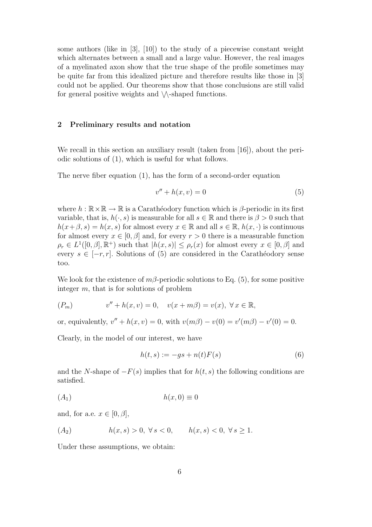some authors (like in  $[3]$ ,  $[10]$ ) to the study of a piecewise constant weight which alternates between a small and a large value. However, the real images of a myelinated axon show that the true shape of the profile sometimes may be quite far from this idealized picture and therefore results like those in [3] could not be applied. Our theorems show that those conclusions are still valid for general positive weights and  $\setminus$ -shaped functions.

### 2 Preliminary results and notation

We recall in this section an auxiliary result (taken from [16]), about the periodic solutions of (1), which is useful for what follows.

The nerve fiber equation  $(1)$ , has the form of a second-order equation

$$
v'' + h(x, v) = 0 \tag{5}
$$

where  $h : \mathbb{R} \times \mathbb{R} \to \mathbb{R}$  is a Carathéodory function which is  $\beta$ -periodic in its first variable, that is,  $h(\cdot, s)$  is measurable for all  $s \in \mathbb{R}$  and there is  $\beta > 0$  such that  $h(x+\beta, s) = h(x, s)$  for almost every  $x \in \mathbb{R}$  and all  $s \in \mathbb{R}$ ,  $h(x, \cdot)$  is continuous for almost every  $x \in [0, \beta]$  and, for every  $r > 0$  there is a measurable function  $\rho_r \in L^1([0,\beta],\mathbb{R}^+)$  such that  $|h(x,s)| \leq \rho_r(x)$  for almost every  $x \in [0,\beta]$  and every  $s \in [-r, r]$ . Solutions of (5) are considered in the Carathéodory sense too.

We look for the existence of  $m\beta$ -periodic solutions to Eq. (5), for some positive integer  $m$ , that is for solutions of problem

$$
(P_m) \t v'' + h(x, v) = 0, \t v(x + m\beta) = v(x), \forall x \in \mathbb{R},
$$

or, equivalently,  $v'' + h(x, v) = 0$ , with  $v(m\beta) - v(0) = v'(m\beta) - v'(0) = 0$ .

Clearly, in the model of our interest, we have

$$
h(t,s) := -gs + n(t)F(s)
$$
\n<sup>(6)</sup>

and the N-shape of  $-F(s)$  implies that for  $h(t, s)$  the following conditions are satisfied.

$$
(A_1) \t\t\t h(x,0) \equiv 0
$$

and, for a.e.  $x \in [0, \beta]$ ,

$$
(A_2) \t\t h(x,s) > 0, \forall s < 0, \t h(x,s) < 0, \forall s \ge 1.
$$

Under these assumptions, we obtain: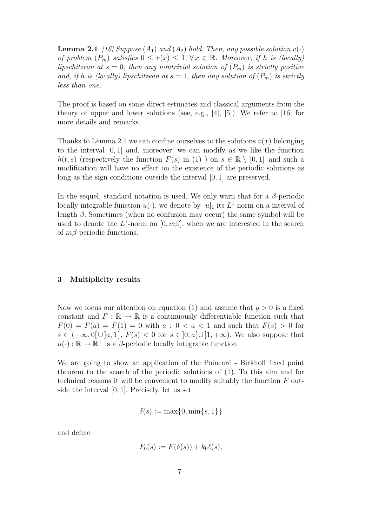**Lemma 2.1** [16] Suppose  $(A_1)$  and  $(A_2)$  hold. Then, any possible solution  $v(\cdot)$ of problem  $(P_m)$  satisfies  $0 \le v(x) \le 1, \forall x \in \mathbb{R}$ . Moreover, if h is (locally) lipschitzean at  $s = 0$ , then any nontrivial solution of  $(P_m)$  is strictly positive and, if h is (locally) lipschitzean at  $s = 1$ , then any solution of  $(P_m)$  is strictly less than one.

The proof is based on some direct estimates and classical arguments from the theory of upper and lower solutions (see, e.g., [4], [5]). We refer to [16] for more details and remarks.

Thanks to Lemma 2.1 we can confine ourselves to the solutions  $v(x)$  belonging to the interval [0, 1] and, moreover, we can modify as we like the function  $h(t, s)$  (respectively the function  $F(s)$  in (1)) on  $s \in \mathbb{R} \setminus [0, 1]$  and such a modification will have no effect on the existence of the periodic solutions as long as the sign conditions outside the interval [0, 1] are preserved.

In the sequel, standard notation is used. We only warn that for a  $\beta$ -periodic locally integrable function  $u(\cdot)$ , we denote by  $|u|_1$  its  $L^1$ -norm on a interval of length  $\beta$ . Sometimes (when no confusion may occur) the same symbol will be used to denote the  $L^1$ -norm on  $[0, m\beta]$ , when we are interested in the search of  $m\beta$ -periodic functions.

### 3 Multiplicity results

Now we focus our attention on equation (1) and assume that  $q > 0$  is a fixed constant and  $F : \mathbb{R} \to \mathbb{R}$  is a continuously differentiable function such that  $F(0) = F(a) = F(1) = 0$  with  $a : 0 < a < 1$  and such that  $F(s) > 0$  for  $s \in (-\infty, 0] \cup [a, 1], F(s) < 0$  for  $s \in [0, a] \cup [1, +\infty)$ . We also suppose that  $n(\cdot): \mathbb{R} \to \mathbb{R}^+$  is a  $\beta$ -periodic locally integrable function.

We are going to show an application of the Poincaré - Birkhoff fixed point theorem to the search of the periodic solutions of (1). To this aim and for technical reasons it will be convenient to modify suitably the function  $F$  outside the interval [0, 1]. Precisely, let us set

$$
\delta(s) := \max\{0, \min\{s, 1\}\}\
$$

and define

$$
F_0(s) := F(\delta(s)) + k_0 \ell(s),
$$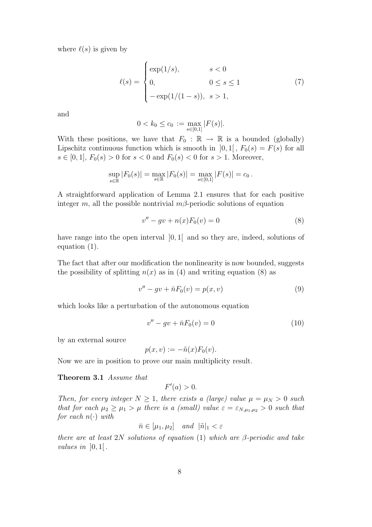where  $\ell(s)$  is given by

$$
\ell(s) = \begin{cases} \exp(1/s), & s < 0 \\ 0, & 0 \le s \le 1 \\ -\exp(1/(1-s)), & s > 1, \end{cases}
$$
(7)

and

$$
0 < k_0 \le c_0 := \max_{s \in [0,1]} |F(s)|.
$$

With these positions, we have that  $F_0 : \mathbb{R} \to \mathbb{R}$  is a bounded (globally) Lipschitz continuous function which is smooth in  $[0, 1]$ ,  $F_0(s) = F(s)$  for all  $s \in [0, 1], F_0(s) > 0$  for  $s < 0$  and  $F_0(s) < 0$  for  $s > 1$ . Moreover,

$$
\sup_{s \in \mathbb{R}} |F_0(s)| = \max_{s \in \mathbb{R}} |F_0(s)| = \max_{s \in [0,1]} |F(s)| = c_0.
$$

A straightforward application of Lemma 2.1 ensures that for each positive integer m, all the possible nontrivial  $m\beta$ -periodic solutions of equation

$$
v'' - gv + n(x)F_0(v) = 0
$$
\n(8)

have range into the open interval  $[0, 1]$  and so they are, indeed, solutions of equation (1).

The fact that after our modification the nonlinearity is now bounded, suggests the possibility of splitting  $n(x)$  as in (4) and writing equation (8) as

$$
v'' - gv + \bar{n}F_0(v) = p(x, v)
$$
\n(9)

which looks like a perturbation of the autonomous equation

$$
v'' - gv + \bar{n}F_0(v) = 0 \tag{10}
$$

by an external source

$$
p(x, v) := -\tilde{n}(x) F_0(v).
$$

Now we are in position to prove our main multiplicity result.

Theorem 3.1 Assume that

$$
F'(a) > 0.
$$

Then, for every integer  $N \geq 1$ , there exists a (large) value  $\mu = \mu_N > 0$  such that for each  $\mu_2 \geq \mu_1 > \mu$  there is a (small) value  $\varepsilon = \varepsilon_{N,\mu_1,\mu_2} > 0$  such that for each  $n(\cdot)$  with

$$
\bar{n} \in [\mu_1, \mu_2] \quad and \quad |\tilde{n}|_1 < \varepsilon
$$

there are at least 2N solutions of equation (1) which are  $\beta$ -periodic and take values in  $[0,1]$ .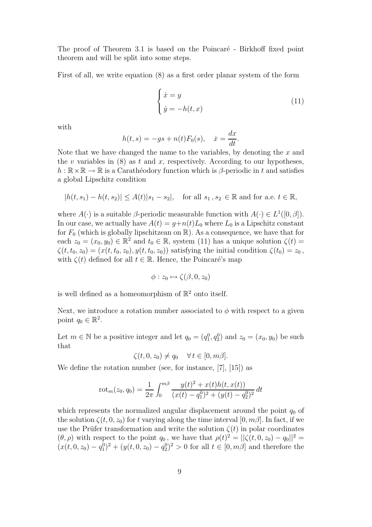The proof of Theorem 3.1 is based on the Poincaré - Birkhoff fixed point theorem and will be split into some steps.

First of all, we write equation (8) as a first order planar system of the form

$$
\begin{cases} \n\dot{x} = y \\
\dot{y} = -h(t, x)\n\end{cases} \tag{11}
$$

with

$$
h(t,s) = -gs + n(t)F_0(s), \quad \dot{x} = \frac{dx}{dt}.
$$

Note that we have changed the name to the variables, by denoting the  $x$  and the v variables in  $(8)$  as t and x, respectively. According to our hypotheses,  $h : \mathbb{R} \times \mathbb{R} \to \mathbb{R}$  is a Caratheodory function which is  $\beta$ -periodic in t and satisfies a global Lipschitz condition

$$
|h(t, s_1) - h(t, s_2)| \leq A(t)|s_1 - s_2|
$$
, for all  $s_1, s_2 \in \mathbb{R}$  and for a.e.  $t \in \mathbb{R}$ ,

where  $A(\cdot)$  is a suitable  $\beta$ -periodic measurable function with  $A(\cdot) \in L^1([0,\beta])$ . In our case, we actually have  $A(t) = g+n(t)L_0$  where  $L_0$  is a Lipschitz constant for  $F_0$  (which is globally lipschitzean on  $\mathbb{R}$ ). As a consequence, we have that for each  $z_0 = (x_0, y_0) \in \mathbb{R}^2$  and  $t_0 \in \mathbb{R}$ , system (11) has a unique solution  $\zeta(t) =$  $\zeta(t, t_0, z_0) = (x(t, t_0, z_0), y(t, t_0, z_0))$  satisfying the initial condition  $\zeta(t_0) = z_0$ , with  $\zeta(t)$  defined for all  $t \in \mathbb{R}$ . Hence, the Poincaré's map

$$
\phi: z_0 \mapsto \zeta(\beta, 0, z_0)
$$

is well defined as a homeomorphism of  $\mathbb{R}^2$  onto itself.

Next, we introduce a rotation number associated to  $\phi$  with respect to a given point  $q_0 \in \mathbb{R}^2$ .

Let  $m \in \mathbb{N}$  be a positive integer and let  $q_0 = (q_1^0, q_2^0)$  and  $z_0 = (x_0, y_0)$  be such that

$$
\zeta(t,0,z_0) \neq q_0 \quad \forall \, t \in [0,m\beta].
$$

We define the rotation number (see, for instance, [7], [15]) as

$$
rot_m(z_0, q_0) = \frac{1}{2\pi} \int_0^{m\beta} \frac{y(t)^2 + x(t)h(t, x(t))}{(x(t) - q_1^0)^2 + (y(t) - q_2^0)^2} dt
$$

which represents the normalized angular displacement around the point  $q_0$  of the solution  $\zeta(t, 0, z_0)$  for t varying along the time interval  $[0, m\beta]$ . In fact, if we use the Prüfer transformation and write the solution  $\zeta(t)$  in polar coordinates  $(\theta, \rho)$  with respect to the point  $q_0$ , we have that  $\rho(t)^2 = ||\zeta(t, 0, z_0) - q_0||^2 =$  $(x(t, 0, z_0) - q_1^0)^2 + (y(t, 0, z_0) - q_2^0)^2 > 0$  for all  $t \in [0, m\beta]$  and therefore the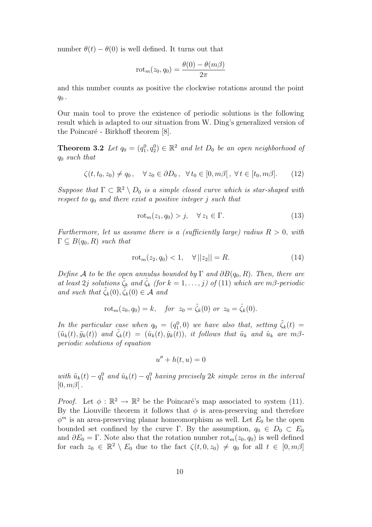number  $\theta(t) - \theta(0)$  is well defined. It turns out that

$$
rot_m(z_0, q_0) = \frac{\theta(0) - \theta(m\beta)}{2\pi}
$$

and this number counts as positive the clockwise rotations around the point  $q_0$ .

Our main tool to prove the existence of periodic solutions is the following result which is adapted to our situation from W. Ding's generalized version of the Poincaré - Birkhoff theorem  $[8]$ .

**Theorem 3.2** Let  $q_0 = (q_1^0, q_2^0) \in \mathbb{R}^2$  and let  $D_0$  be an open neighborhood of  $q_0$  such that

$$
\zeta(t, t_0, z_0) \neq q_0, \quad \forall z_0 \in \partial D_0, \quad \forall t_0 \in [0, m\beta], \ \forall t \in [t_0, m\beta]. \tag{12}
$$

Suppose that  $\Gamma \subset \mathbb{R}^2 \setminus D_0$  is a simple closed curve which is star-shaped with respect to  $q_0$  and there exist a positive integer j such that

$$
\operatorname{rot}_{m}(z_{1}, q_{0}) > j, \quad \forall z_{1} \in \Gamma. \tag{13}
$$

Furthermore, let us assume there is a (sufficiently large) radius  $R > 0$ , with  $\Gamma \subseteq B(q_0, R)$  such that

$$
rot_m(z_2, q_0) < 1, \quad \forall ||z_2|| = R. \tag{14}
$$

Define A to be the open annulus bounded by  $\Gamma$  and  $\partial B(q_0, R)$ . Then, there are at least 2j solutions  $\zeta_k$  and  $\zeta_k$  (for  $k = 1, \ldots, j$ ) of (11) which are m $\beta$ -periodic and such that  $\tilde{\zeta}_k(0), \tilde{\zeta}_k(0) \in \mathcal{A}$  and

$$
rot_m(z_0, q_0) = k, \quad for \ z_0 = \tilde{\zeta}_k(0) \text{ or } z_0 = \hat{\zeta}_k(0).
$$

In the particular case when  $q_0 = (q_1^0, 0)$  we have also that, setting  $\tilde{\zeta}_k(t) =$  $(\tilde{u}_k(t), \tilde{y}_k(t))$  and  $\hat{\zeta}_k(t) = (\hat{u}_k(t), \hat{y}_k(t))$ , it follows that  $\tilde{u}_k$  and  $\hat{u}_k$  are  $m\beta$ periodic solutions of equation

$$
u'' + h(t, u) = 0
$$

with  $\tilde{u}_k(t) - q_1^0$  and  $\hat{u}_k(t) - q_1^0$  having precisely  $2k$  simple zeros in the interval  $[0, m\beta]$ .

*Proof.* Let  $\phi : \mathbb{R}^2 \to \mathbb{R}^2$  be the Poincaré's map associated to system (11). By the Liouville theorem it follows that  $\phi$  is area-preserving and therefore  $\phi^m$  is an area-preserving planar homeomorphism as well. Let  $E_0$  be the open bounded set confined by the curve Γ. By the assumption,  $q_0 \in D_0 \subset E_0$ and  $\partial E_0 = \Gamma$ . Note also that the rotation number  $\text{rot}_m(z_0, q_0)$  is well defined for each  $z_0 \in \mathbb{R}^2 \setminus E_0$  due to the fact  $\zeta(t, 0, z_0) \neq q_0$  for all  $t \in [0, m\beta]$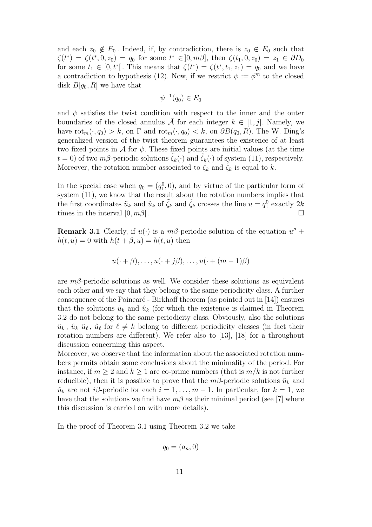and each  $z_0 \notin E_0$ . Indeed, if, by contradiction, there is  $z_0 \notin E_0$  such that  $\zeta(t^*) = \zeta(t^*, 0, z_0) = q_0$  for some  $t^* \in ]0, m\beta]$ , then  $\zeta(t_1, 0, z_0) = z_1 \in \partial D_0$ for some  $t_1 \in [0, t^*]$ . This means that  $\zeta(t^*) = \zeta(t^*, t_1, z_1) = q_0$  and we have a contradiction to hypothesis (12). Now, if we restrict  $\psi := \phi^m$  to the closed disk  $B[q_0, R]$  we have that

$$
\psi^{-1}(q_0) \in E_0
$$

and  $\psi$  satisfies the twist condition with respect to the inner and the outer boundaries of the closed annulus  $\overline{A}$  for each integer  $k \in [1, j]$ . Namely, we have  $\text{rot}_{m}(\cdot, q_0) > k$ , on  $\Gamma$  and  $\text{rot}_{m}(\cdot, q_0) < k$ , on  $\partial B(q_0, R)$ . The W. Ding's generalized version of the twist theorem guarantees the existence of at least two fixed points in A for  $\psi$ . These fixed points are initial values (at the time  $t = 0$ ) of two m $\beta$ -periodic solutions  $\zeta_k(\cdot)$  and  $\zeta_k(\cdot)$  of system (11), respectively. Moreover, the rotation number associated to  $\zeta_k$  and  $\zeta_k$  is equal to k.

In the special case when  $q_0 = (q_1^0, 0)$ , and by virtue of the particular form of system (11), we know that the result about the rotation numbers implies that the first coordinates  $\tilde{u}_k$  and  $\tilde{u}_k$  of  $\tilde{\zeta}_k$  and  $\hat{\zeta}_k$  crosses the line  $u = q_1^0$  exactly  $2k$ times in the interval  $[0, m\beta]$ .

**Remark 3.1** Clearly, if  $u(\cdot)$  is a  $m\beta$ -periodic solution of the equation  $u'' +$  $h(t, u) = 0$  with  $h(t + \beta, u) = h(t, u)$  then

$$
u(\cdot + \beta), \ldots, u(\cdot + j\beta), \ldots, u(\cdot + (m-1)\beta)
$$

are  $m\beta$ -periodic solutions as well. We consider these solutions as equivalent each other and we say that they belong to the same periodicity class. A further consequence of the Poincaré - Birkhoff theorem (as pointed out in  $[14]$ ) ensures that the solutions  $\tilde{u}_k$  and  $\hat{u}_k$  (for which the existence is claimed in Theorem 3.2 do not belong to the same periodicity class. Obviously, also the solutions  $\tilde{u}_k$ ,  $\hat{u}_k$ ,  $\tilde{u}_\ell$ ,  $\hat{u}_\ell$  for  $\ell \neq k$  belong to different periodicity classes (in fact their rotation numbers are different). We refer also to [13], [18] for a throughout discussion concerning this aspect.

Moreover, we observe that the information about the associated rotation numbers permits obtain some conclusions about the minimality of the period. For instance, if  $m \geq 2$  and  $k \geq 1$  are co-prime numbers (that is  $m/k$  is not further reducible), then it is possible to prove that the  $m\beta$ -periodic solutions  $\tilde{u}_k$  and  $\hat{u}_k$  are not *i* $\beta$ -periodic for each  $i = 1, \ldots, m - 1$ . In particular, for  $k = 1$ , we have that the solutions we find have  $m\beta$  as their minimal period (see [7] where this discussion is carried on with more details).

In the proof of Theorem 3.1 using Theorem 3.2 we take

$$
q_0 = (a_{\bar{n}}, 0)
$$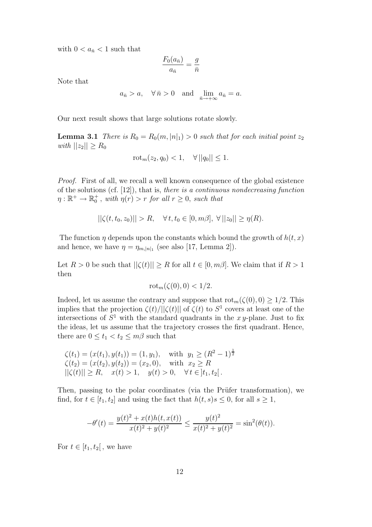with  $0 < a_{\bar{n}} < 1$  such that

$$
\frac{F_0(a_{\bar{n}})}{a_{\bar{n}}} = \frac{g}{\bar{n}}
$$

Note that

$$
a_{\bar{n}} > a
$$
,  $\forall \bar{n} > 0$  and  $\lim_{\bar{n} \to +\infty} a_{\bar{n}} = a$ .

Our next result shows that large solutions rotate slowly.

**Lemma 3.1** There is  $R_0 = R_0(m, |n|_1) > 0$  such that for each initial point  $z_2$ with  $||z_2|| \ge R_0$ 

$$
rot_m(z_2, q_0) < 1, \quad \forall ||q_0|| \le 1.
$$

Proof. First of all, we recall a well known consequence of the global existence of the solutions (cf. [12]), that is, there is a continuous nondecreasing function  $\eta: \mathbb{R}^+ \to \mathbb{R}_0^+$ , with  $\eta(r) > r$  for all  $r \geq 0$ , such that

$$
||\zeta(t, t_0, z_0)|| > R, \quad \forall \, t, t_0 \in [0, m\beta], \ \forall \, ||z_0|| \geq \eta(R).
$$

The function  $\eta$  depends upon the constants which bound the growth of  $h(t, x)$ and hence, we have  $\eta = \eta_{m,|n|_1}$  (see also [17, Lemma 2]).

Let  $R > 0$  be such that  $||\zeta(t)|| \geq R$  for all  $t \in [0, m\beta]$ . We claim that if  $R > 1$ then

$$
\mathrm{rot}_m(\zeta(0),0) < 1/2.
$$

Indeed, let us assume the contrary and suppose that  $\text{rot}_{m}(\zeta(0), 0) \geq 1/2$ . This implies that the projection  $\zeta(t)/||\zeta(t)||$  of  $\zeta(t)$  to  $S^1$  covers at least one of the intersections of  $S^1$  with the standard quadrants in the xy-plane. Just to fix the ideas, let us assume that the trajectory crosses the first quadrant. Hence, there are  $0 \le t_1 < t_2 \le m\beta$  such that

$$
\begin{aligned}\n\zeta(t_1) &= (x(t_1), y(t_1)) = (1, y_1), \quad \text{with } y_1 \ge (R^2 - 1)^{\frac{1}{2}} \\
\zeta(t_2) &= (x(t_2), y(t_2)) = (x_2, 0), \quad \text{with } x_2 \ge R \\
||\zeta(t)|| \ge R, \quad x(t) > 1, \quad y(t) > 0, \quad \forall \, t \in ]t_1, t_2[\,. \n\end{aligned}
$$

Then, passing to the polar coordinates (via the Prüfer transformation), we find, for  $t \in [t_1, t_2]$  and using the fact that  $h(t, s) s \leq 0$ , for all  $s \geq 1$ ,

$$
-\theta'(t) = \frac{y(t)^2 + x(t)h(t, x(t))}{x(t)^2 + y(t)^2} \le \frac{y(t)^2}{x(t)^2 + y(t)^2} = \sin^2(\theta(t)).
$$

For  $t \in [t_1, t_2]$ , we have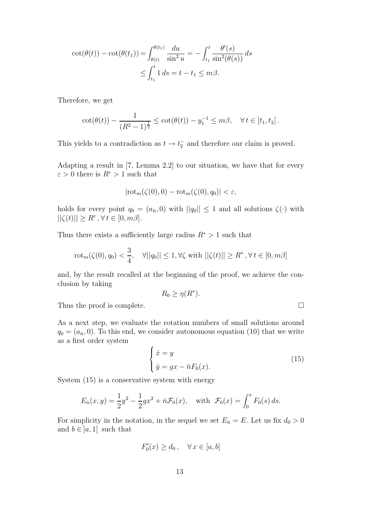$$
\cot(\theta(t)) - \cot(\theta(t_1)) = \int_{\theta(t)}^{\theta(t_1)} \frac{du}{\sin^2 u} = -\int_{t_1}^t \frac{\theta'(s)}{\sin^2(\theta(s))} ds
$$
  

$$
\leq \int_{t_1}^t 1 ds = t - t_1 \leq m\beta.
$$

Therefore, we get

$$
\cot(\theta(t)) - \frac{1}{(R^2 - 1)^{\frac{1}{2}}} \le \cot(\theta(t)) - y_1^{-1} \le m\beta, \quad \forall \, t \in [t_1, t_2].
$$

This yields to a contradiction as  $t \to t_2^-$  and therefore our claim is proved.

Adapting a result in [7, Lemma 2.2] to our situation, we have that for every  $\varepsilon > 0$  there is  $R^{\varepsilon} > 1$  such that

$$
|\mathrm{rot}_m(\zeta(0),0)-\mathrm{rot}_m(\zeta(0),q_0)|<\varepsilon,
$$

holds for every point  $q_0 = (a_{\bar{n}}, 0)$  with  $||q_0|| \leq 1$  and all solutions  $\zeta(\cdot)$  with  $||\zeta(t)|| \ge R^{\varepsilon}, \forall t \in [0, m\beta].$ 

Thus there exists a sufficiently large radius  $R^* > 1$  such that

$$
\mathrm{rot}_{m}(\zeta(0), q_{0}) < \frac{3}{4}, \quad \forall ||q_{0}|| \leq 1, \forall \zeta \text{ with } ||\zeta(t)|| \geq R^{*}, \forall t \in [0, m\beta]
$$

and, by the result recalled at the beginning of the proof, we achieve the conclusion by taking

$$
R_0 \ge \eta(R^*).
$$

Thus the proof is complete.

As a next step, we evaluate the rotation numbers of small solutions around  $q_0 = (a_{\bar{n}}, 0)$ . To this end, we consider autonomous equation (10) that we write as a first order system

$$
\begin{cases}\n\dot{x} = y \\
\dot{y} = gx - \bar{n}F_0(x).\n\end{cases} (15)
$$

System (15) is a conservative system with energy

$$
E_{\bar{n}}(x, y) = \frac{1}{2}y^2 - \frac{1}{2}gx^2 + \bar{n}\mathcal{F}_0(x)
$$
, with  $\mathcal{F}_0(x) = \int_0^x F_0(s) ds$ .

For simplicity in the notation, in the sequel we set  $E_{\bar{n}} = E$ . Let us fix  $d_0 > 0$ and  $b \in ]a,1[$  such that

$$
F_0'(x) \ge d_0, \quad \forall \, x \in [a, b]
$$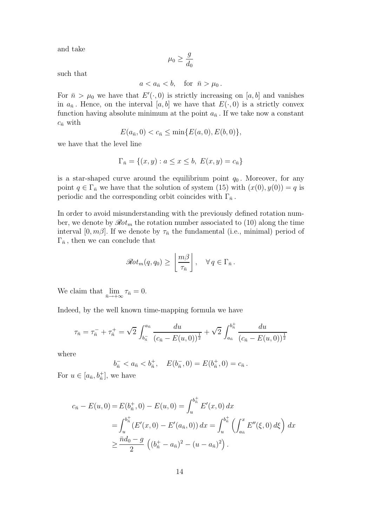and take

$$
\mu_0\geq \frac{g}{d_0}
$$

such that

$$
a
$$

For  $\bar{n} > \mu_0$  we have that  $E'(\cdot, 0)$  is strictly increasing on [a, b] and vanishes in  $a_{\bar{n}}$ . Hence, on the interval [a, b] we have that  $E(\cdot, 0)$  is a strictly convex function having absolute minimum at the point  $a_{\overline{n}}$ . If we take now a constant  $c_{\bar{n}}$  with

$$
E(a_{\bar{n}},0) < c_{\bar{n}} \le \min\{E(a,0),E(b,0)\},\
$$

we have that the level line

$$
\Gamma_{\bar{n}} = \{(x, y) : a \le x \le b, \ E(x, y) = c_{\bar{n}}\}
$$

is a star-shaped curve around the equilibrium point  $q_0$ . Moreover, for any point  $q \in \Gamma_{\bar{n}}$  we have that the solution of system (15) with  $(x(0), y(0)) = q$  is periodic and the corresponding orbit coincides with  $\Gamma_{\bar{n}}$ .

In order to avoid misunderstanding with the previously defined rotation number, we denote by  $\mathscr{R}ot_m$  the rotation number associated to (10) along the time interval [0, m $\beta$ ]. If we denote by  $\tau_{\bar{n}}$  the fundamental (i.e., minimal) period of  $\Gamma_{\bar{n}}$ , then we can conclude that

$$
\mathscr{R}\!\mathit{ot}_m(q,q_0) \geq \left\lfloor \frac{m\beta}{\tau_{\bar{n}}} \right\rfloor, \quad \forall q \in \Gamma_{\bar{n}}.
$$

We claim that  $\lim_{\bar{n}\to+\infty}\tau_{\bar{n}}=0.$ 

Indeed, by the well known time-mapping formula we have

$$
\tau_{\bar{n}} = \tau_{\bar{n}}^- + \tau_{\bar{n}}^+ = \sqrt{2} \int_{b_{\bar{n}}}^{a_{\bar{n}}} \frac{du}{(c_{\bar{n}} - E(u, 0))^{\frac{1}{2}}} + \sqrt{2} \int_{a_{\bar{n}}}^{b_{\bar{n}}} \frac{du}{(c_{\bar{n}} - E(u, 0))^{\frac{1}{2}}}
$$

where

$$
b_{\bar{n}}^- < a_{\bar{n}} < b_{\bar{n}}^+, \quad E(b_{\bar{n}}^-, 0) = E(b_{\bar{n}}^+, 0) = c_{\bar{n}}.
$$

For  $u \in [a_{\bar{n}}, b_{\bar{n}}^{+}]$ , we have

$$
c_{\bar{n}} - E(u, 0) = E(b_{\bar{n}}^{+}, 0) - E(u, 0) = \int_{u}^{b_{\bar{n}}} E'(x, 0) dx
$$
  
= 
$$
\int_{u}^{b_{\bar{n}}} (E'(x, 0) - E'(a_{\bar{n}}, 0)) dx = \int_{u}^{b_{\bar{n}}} \left( \int_{a_{\bar{n}}}^{x} E''(\xi, 0) d\xi \right) dx
$$
  

$$
\geq \frac{\bar{n}d_0 - g}{2} \left( (b_{\bar{n}}^{+} - a_{\bar{n}})^2 - (u - a_{\bar{n}})^2 \right).
$$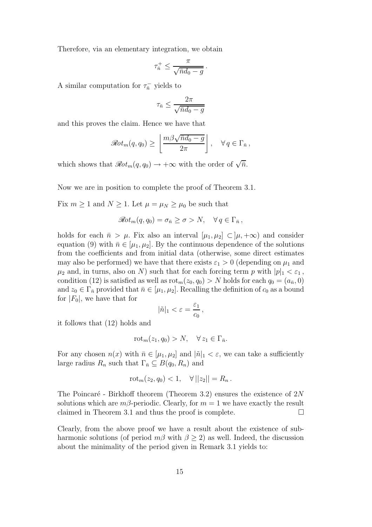Therefore, via an elementary integration, we obtain

$$
\tau_{\bar{n}}^+ \leq \frac{\pi}{\sqrt{\bar{n}d_0 - g}}.
$$

A similar computation for  $\tau_{\bar{n}}^-$  yields to

$$
\tau_{\bar{n}} \le \frac{2\pi}{\sqrt{\bar{n}d_0 - g}}
$$

and this proves the claim. Hence we have that

$$
\mathscr{R}\!\mathit{ot}_m(q,q_0) \geq \left\lfloor \frac{m\beta\sqrt{\bar{n}d_0 - g}}{2\pi} \right\rfloor, \quad \forall q \in \Gamma_{\bar{n}},
$$

which shows that  $\mathscr{R}ot_m(q, q_0) \to +\infty$  with the order of  $\sqrt{\bar{n}}$ .

Now we are in position to complete the proof of Theorem 3.1.

Fix  $m \ge 1$  and  $N \ge 1$ . Let  $\mu = \mu_N \ge \mu_0$  be such that

$$
\mathscr R\!\mathit{ot}_m(q,q_0)=\sigma_{\bar n}\geq \sigma>N,\quad \forall\, q\in\Gamma_{\bar n}\,,
$$

holds for each  $\bar{n} > \mu$ . Fix also an interval  $[\mu_1, \mu_2] \subset [\mu, +\infty)$  and consider equation (9) with  $\bar{n} \in [\mu_1, \mu_2]$ . By the continuous dependence of the solutions from the coefficients and from initial data (otherwise, some direct estimates may also be performed) we have that there exists  $\varepsilon_1 > 0$  (depending on  $\mu_1$  and  $\mu_2$  and, in turns, also on N) such that for each forcing term p with  $|p|_1 < \varepsilon_1$ , condition (12) is satisfied as well as  $\text{rot}_m(z_0, q_0) > N$  holds for each  $q_0 = (a_{\bar{n}}, 0)$ and  $z_0 \in \Gamma_{\bar{n}}$  provided that  $\bar{n} \in [\mu_1, \mu_2]$ . Recalling the definition of  $c_0$  as a bound for  $|F_0|$ , we have that for

$$
|\tilde{n}|_1 < \varepsilon = \frac{\varepsilon_1}{c_0},
$$

it follows that (12) holds and

$$
\mathrm{rot}_m(z_1, q_0) > N, \quad \forall \, z_1 \in \Gamma_{\bar{n}}.
$$

For any chosen  $n(x)$  with  $\bar{n} \in [\mu_1, \mu_2]$  and  $|\tilde{n}|_1 < \varepsilon$ , we can take a sufficiently large radius  $R_n$  such that  $\Gamma_{\bar{n}} \subseteq B(q_0, R_n)$  and

$$
rot_m(z_2, q_0) < 1, \quad \forall ||z_2|| = R_n.
$$

The Poincaré - Birkhoff theorem (Theorem 3.2) ensures the existence of  $2N$ solutions which are  $m\beta$ -periodic. Clearly, for  $m = 1$  we have exactly the result claimed in Theorem 3.1 and thus the proof is complete.  $\Box$ 

Clearly, from the above proof we have a result about the existence of subharmonic solutions (of period  $m\beta$  with  $\beta > 2$ ) as well. Indeed, the discussion about the minimality of the period given in Remark 3.1 yields to: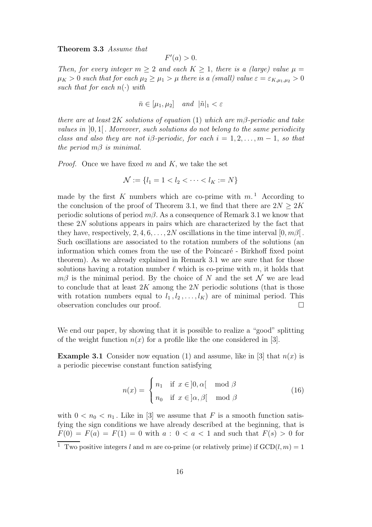Theorem 3.3 Assume that

$$
F'(a) > 0.
$$

Then, for every integer  $m \geq 2$  and each  $K \geq 1$ , there is a (large) value  $\mu =$  $\mu_K > 0$  such that for each  $\mu_2 \geq \mu_1 > \mu$  there is a (small) value  $\varepsilon = \varepsilon_{K,\mu_1,\mu_2} > 0$ such that for each  $n(\cdot)$  with

$$
\bar{n} \in [\mu_1, \mu_2] \quad and \quad |\tilde{n}|_1 < \varepsilon
$$

there are at least  $2K$  solutions of equation (1) which are m $\beta$ -periodic and take values in  $[0, 1]$ . Moreover, such solutions do not belong to the same periodicity class and also they are not i $\beta$ -periodic, for each  $i = 1, 2, \ldots, m - 1$ , so that the period  $m\beta$  is minimal.

*Proof.* Once we have fixed m and K, we take the set

$$
\mathcal{N} := \{ l_1 = 1 < l_2 < \dots < l_K := N \}
$$

made by the first K numbers which are co-prime with  $m<sup>1</sup>$  According to the conclusion of the proof of Theorem 3.1, we find that there are  $2N \geq 2K$ periodic solutions of period  $m\beta$ . As a consequence of Remark 3.1 we know that these 2N solutions appears in pairs which are characterized by the fact that they have, respectively, 2, 4, 6, . . . , 2N oscillations in the time interval  $[0, m\beta]$ . Such oscillations are associated to the rotation numbers of the solutions (an information which comes from the use of the Poincaré - Birkhoff fixed point theorem). As we already explained in Remark 3.1 we are sure that for those solutions having a rotation number  $\ell$  which is co-prime with m, it holds that  $m\beta$  is the minimal period. By the choice of N and the set N we are lead to conclude that at least  $2K$  among the  $2N$  periodic solutions (that is those with rotation numbers equal to  $l_1, l_2, \ldots, l_K$  are of minimal period. This observation concludes our proof.

We end our paper, by showing that it is possible to realize a "good" splitting of the weight function  $n(x)$  for a profile like the one considered in [3].

**Example 3.1** Consider now equation (1) and assume, like in [3] that  $n(x)$  is a periodic piecewise constant function satisfying

$$
n(x) = \begin{cases} n_1 & \text{if } x \in ]0, \alpha[ \mod \beta \\ n_0 & \text{if } x \in ]\alpha, \beta[ \mod \beta \end{cases}
$$
 (16)

with  $0 < n_0 < n_1$ . Like in [3] we assume that F is a smooth function satisfying the sign conditions we have already described at the beginning, that is  $F(0) = F(a) = F(1) = 0$  with  $a: 0 < a < 1$  and such that  $F(s) > 0$  for

<sup>&</sup>lt;sup>1</sup> Two positive integers l and m are co-prime (or relatively prime) if  $GCD(l,m) = 1$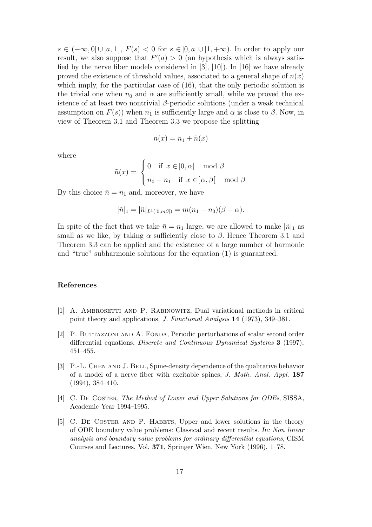$s \in (-\infty, 0] \cup [a, 1], F(s) < 0$  for  $s \in [0, a] \cup [1, +\infty)$ . In order to apply our result, we also suppose that  $F'(a) > 0$  (an hypothesis which is always satisfied by the nerve fiber models considered in [3], [10]). In [16] we have already proved the existence of threshold values, associated to a general shape of  $n(x)$ which imply, for the particular case of  $(16)$ , that the only periodic solution is the trivial one when  $n_0$  and  $\alpha$  are sufficiently small, while we proved the existence of at least two nontrivial  $\beta$ -periodic solutions (under a weak technical assumption on  $F(s)$ ) when  $n_1$  is sufficiently large and  $\alpha$  is close to  $\beta$ . Now, in view of Theorem 3.1 and Theorem 3.3 we propose the splitting

$$
n(x) = n_1 + \tilde{n}(x)
$$

where

$$
\tilde{n}(x) = \begin{cases}\n0 & \text{if } x \in ]0, \alpha[ \mod \beta \\
n_0 - n_1 & \text{if } x \in ]\alpha, \beta[ \mod \beta]\n\end{cases}
$$

By this choice  $\bar{n} = n_1$  and, moreover, we have

$$
|\tilde{n}|_1 = |\tilde{n}|_{L^1([0,m,\beta])} = m(n_1 - n_0)(\beta - \alpha).
$$

In spite of the fact that we take  $\bar{n} = n_1$  large, we are allowed to make  $|\tilde{n}|_1$  as small as we like, by taking  $\alpha$  sufficiently close to  $\beta$ . Hence Theorem 3.1 and Theorem 3.3 can be applied and the existence of a large number of harmonic and "true" subharmonic solutions for the equation (1) is guaranteed.

## References

- [1] A. Ambrosetti and P. Rabinowitz, Dual variational methods in critical point theory and applications, J. Functional Analysis 14 (1973), 349–381.
- [2] P. Buttazzoni and A. Fonda, Periodic perturbations of scalar second order differential equations, Discrete and Continuous Dynamical Systems 3 (1997), 451–455.
- [3] P.-L. Chen and J. Bell, Spine-density dependence of the qualitative behavior of a model of a nerve fiber with excitable spines, J. Math. Anal. Appl. 187 (1994), 384–410.
- [4] C. De Coster, The Method of Lower and Upper Solutions for ODEs, SISSA, Academic Year 1994–1995.
- [5] C. De Coster and P. Habets, Upper and lower solutions in the theory of ODE boundary value problems: Classical and recent results. In: Non linear analysis and boundary value problems for ordinary differential equations, CISM Courses and Lectures, Vol. 371, Springer Wien, New York (1996), 1–78.